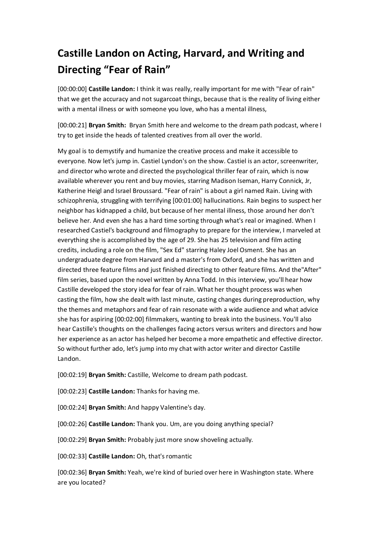## **Castille Landon on Acting, Harvard, and Writing and Directing "Fear of Rain"**

[00:00:00] **Castille Landon:** I think it was really, really important for me with "Fear of rain" that we get the accuracy and not sugarcoat things, because that is the reality of living either with a mental illness or with someone you love, who has a mental illness,

[00:00:21] **Bryan Smith:** Bryan Smith here and welcome to the dream path podcast, where I try to get inside the heads of talented creatives from all over the world.

My goal is to demystify and humanize the creative process and make it accessible to everyone. Now let's jump in. Castiel Lyndon's on the show. Castiel is an actor, screenwriter, and director who wrote and directed the psychological thriller fear of rain, which is now available wherever you rent and buy movies, starring Madison Iseman, Harry Connick, Jr, Katherine Heigl and Israel Broussard. "Fear of rain" is about a girl named Rain. Living with schizophrenia, struggling with terrifying [00:01:00] hallucinations. Rain begins to suspect her neighbor has kidnapped a child, but because of her mental illness, those around her don't believe her. And even she has a hard time sorting through what's real or imagined. When I researched Castiel's background and filmography to prepare for the interview, I marveled at everything she is accomplished by the age of 29. She has 25 television and film acting credits, including a role on the film, "Sex Ed" starring Haley Joel Osment. She has an undergraduate degree from Harvard and a master's from Oxford, and she has written and directed three feature films and just finished directing to other feature films. And the"After" film series, based upon the novel written by Anna Todd. In this interview, you'll hear how Castille developed the story idea for fear of rain. What her thought process was when casting the film, how she dealt with last minute, casting changes during preproduction, why the themes and metaphors and fear of rain resonate with a wide audience and what advice she has for aspiring [00:02:00] filmmakers, wanting to break into the business. You'll also hear Castille's thoughts on the challenges facing actors versus writers and directors and how her experience as an actor has helped her become a more empathetic and effective director. So without further ado, let's jump into my chat with actor writer and director Castille Landon.

[00:02:19] **Bryan Smith:** Castille, Welcome to dream path podcast.

[00:02:23] **Castille Landon:** Thanks for having me.

[00:02:24] **Bryan Smith:** And happy Valentine's day.

[00:02:26] **Castille Landon:** Thank you. Um, are you doing anything special?

[00:02:29] **Bryan Smith:** Probably just more snow shoveling actually.

[00:02:33] **Castille Landon:** Oh, that's romantic

[00:02:36] **Bryan Smith:** Yeah, we're kind of buried over here in Washington state. Where are you located?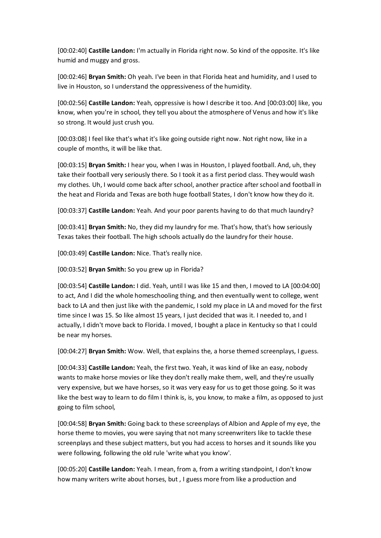[00:02:40] **Castille Landon:** I'm actually in Florida right now. So kind of the opposite. It's like humid and muggy and gross.

[00:02:46] **Bryan Smith:** Oh yeah. I've been in that Florida heat and humidity, and I used to live in Houston, so I understand the oppressiveness of the humidity.

[00:02:56] **Castille Landon:** Yeah, oppressive is how I describe it too. And [00:03:00] like, you know, when you're in school, they tell you about the atmosphere of Venus and how it's like so strong. It would just crush you.

[00:03:08] I feel like that's what it's like going outside right now. Not right now, like in a couple of months, it will be like that.

[00:03:15] **Bryan Smith:** I hear you, when I was in Houston, I played football. And, uh, they take their football very seriously there. So I took it as a first period class. They would wash my clothes. Uh, I would come back after school, another practice after school and football in the heat and Florida and Texas are both huge football States, I don't know how they do it.

[00:03:37] **Castille Landon:** Yeah. And your poor parents having to do that much laundry?

[00:03:41] **Bryan Smith:** No, they did my laundry for me. That's how, that's how seriously Texas takes their football. The high schools actually do the laundry for their house.

[00:03:49] **Castille Landon:** Nice. That's really nice.

[00:03:52] **Bryan Smith:** So you grew up in Florida?

[00:03:54] **Castille Landon:** I did. Yeah, until I was like 15 and then, I moved to LA [00:04:00] to act, And I did the whole homeschooling thing, and then eventually went to college, went back to LA and then just like with the pandemic, I sold my place in LA and moved for the first time since I was 15. So like almost 15 years, I just decided that was it. I needed to, and I actually, I didn't move back to Florida. I moved, I bought a place in Kentucky so that I could be near my horses.

[00:04:27] **Bryan Smith:** Wow. Well, that explains the, a horse themed screenplays, I guess.

[00:04:33] **Castille Landon:** Yeah, the first two. Yeah, it was kind of like an easy, nobody wants to make horse movies or like they don't really make them, well, and they're usually very expensive, but we have horses, so it was very easy for us to get those going. So it was like the best way to learn to do film I think is, is, you know, to make a film, as opposed to just going to film school,

[00:04:58] **Bryan Smith:** Going back to these screenplays of Albion and Apple of my eye, the horse theme to movies, you were saying that not many screenwriters like to tackle these screenplays and these subject matters, but you had access to horses and it sounds like you were following, following the old rule 'write what you know'.

[00:05:20] **Castille Landon:** Yeah. I mean, from a, from a writing standpoint, I don't know how many writers write about horses, but , I guess more from like a production and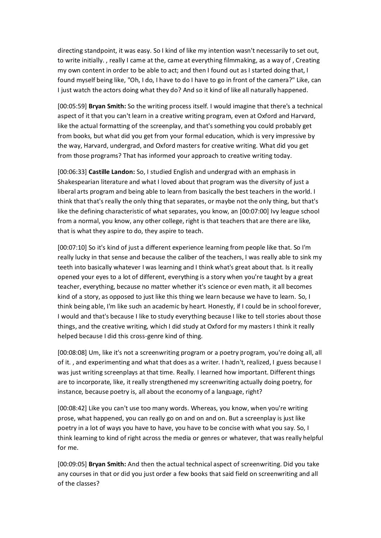directing standpoint, it was easy. So I kind of like my intention wasn't necessarily to set out, to write initially. , really I came at the, came at everything filmmaking, as a way of , Creating my own content in order to be able to act; and then I found out as I started doing that, I found myself being like, "Oh, I do, I have to do I have to go in front of the camera?" Like, can I just watch the actors doing what they do? And so it kind of like all naturally happened.

[00:05:59] **Bryan Smith:** So the writing process itself. I would imagine that there's a technical aspect of it that you can't learn in a creative writing program, even at Oxford and Harvard, like the actual formatting of the screenplay, and that's something you could probably get from books, but what did you get from your formal education, which is very impressive by the way, Harvard, undergrad, and Oxford masters for creative writing. What did you get from those programs? That has informed your approach to creative writing today.

[00:06:33] **Castille Landon:** So, I studied English and undergrad with an emphasis in Shakespearian literature and what I loved about that program was the diversity of just a liberal arts program and being able to learn from basically the best teachers in the world. I think that that's really the only thing that separates, or maybe not the only thing, but that's like the defining characteristic of what separates, you know, an [00:07:00] Ivy league school from a normal, you know, any other college, right is that teachers that are there are like, that is what they aspire to do, they aspire to teach.

[00:07:10] So it's kind of just a different experience learning from people like that. So I'm really lucky in that sense and because the caliber of the teachers, I was really able to sink my teeth into basically whatever I was learning and I think what's great about that. Is it really opened your eyes to a lot of different, everything is a story when you're taught by a great teacher, everything, because no matter whether it's science or even math, it all becomes kind of a story, as opposed to just like this thing we learn because we have to learn. So, I think being able, I'm like such an academic by heart. Honestly, if I could be in school forever, I would and that's because I like to study everything because I like to tell stories about those things, and the creative writing, which I did study at Oxford for my masters I think it really helped because I did this cross-genre kind of thing.

[00:08:08] Um, like it's not a screenwriting program or a poetry program, you're doing all, all of it. , and experimenting and what that does as a writer. I hadn't, realized, I guess because I was just writing screenplays at that time. Really. I learned how important. Different things are to incorporate, like, it really strengthened my screenwriting actually doing poetry, for instance, because poetry is, all about the economy of a language, right?

[00:08:42] Like you can't use too many words. Whereas, you know, when you're writing prose, what happened, you can really go on and on and on. But a screenplay is just like poetry in a lot of ways you have to have, you have to be concise with what you say. So, I think learning to kind of right across the media or genres or whatever, that was really helpful for me.

[00:09:05] **Bryan Smith:** And then the actual technical aspect of screenwriting. Did you take any courses in that or did you just order a few books that said field on screenwriting and all of the classes?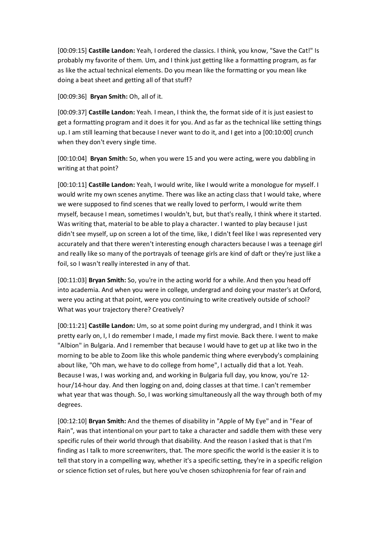[00:09:15] **Castille Landon:** Yeah, I ordered the classics. I think, you know, "Save the Cat!" Is probably my favorite of them. Um, and I think just getting like a formatting program, as far as like the actual technical elements. Do you mean like the formatting or you mean like doing a beat sheet and getting all of that stuff?

[00:09:36] **Bryan Smith:** Oh, all of it.

[00:09:37] **Castille Landon:** Yeah. I mean, I think the, the format side of it is just easiest to get a formatting program and it does it for you. And as far as the technical like setting things up. I am still learning that because I never want to do it, and I get into a [00:10:00] crunch when they don't every single time.

[00:10:04] **Bryan Smith:** So, when you were 15 and you were acting, were you dabbling in writing at that point?

[00:10:11] **Castille Landon:** Yeah, I would write, like I would write a monologue for myself. I would write my own scenes anytime. There was like an acting class that I would take, where we were supposed to find scenes that we really loved to perform, I would write them myself, because I mean, sometimes I wouldn't, but, but that's really, I think where it started. Was writing that, material to be able to play a character. I wanted to play because I just didn't see myself, up on screen a lot of the time, like, I didn't feel like I was represented very accurately and that there weren't interesting enough characters because I was a teenage girl and really like so many of the portrayals of teenage girls are kind of daft or they're just like a foil, so I wasn't really interested in any of that.

[00:11:03] **Bryan Smith:** So, you're in the acting world for a while. And then you head off into academia. And when you were in college, undergrad and doing your master's at Oxford, were you acting at that point, were you continuing to write creatively outside of school? What was your trajectory there? Creatively?

[00:11:21] **Castille Landon:** Um, so at some point during my undergrad, and I think it was pretty early on, I, I do remember I made, I made my first movie. Back there. I went to make "Albion" in Bulgaria. And I remember that because I would have to get up at like two in the morning to be able to Zoom like this whole pandemic thing where everybody's complaining about like, "Oh man, we have to do college from home", I actually did that a lot. Yeah. Because I was, I was working and, and working in Bulgaria full day, you know, you're 12 hour/14-hour day. And then logging on and, doing classes at that time. I can't remember what year that was though. So, I was working simultaneously all the way through both of my degrees.

[00:12:10] **Bryan Smith:** And the themes of disability in "Apple of My Eye" and in "Fear of Rain", was that intentional on your part to take a character and saddle them with these very specific rules of their world through that disability. And the reason I asked that is that I'm finding as I talk to more screenwriters, that. The more specific the world is the easier it is to tell that story in a compelling way, whether it's a specific setting, they're in a specific religion or science fiction set of rules, but here you've chosen schizophrenia for fear of rain and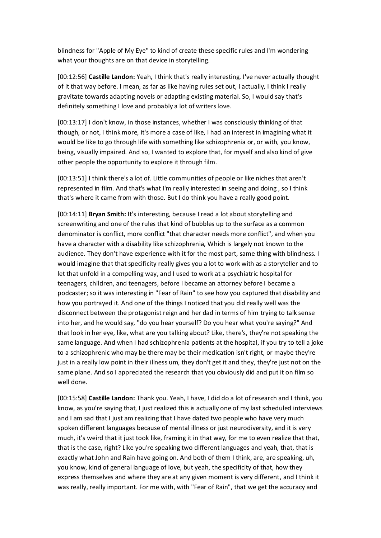blindness for "Apple of My Eye" to kind of create these specific rules and I'm wondering what your thoughts are on that device in storytelling.

[00:12:56] **Castille Landon:** Yeah, I think that's really interesting. I've never actually thought of it that way before. I mean, as far as like having rules set out, I actually, I think I really gravitate towards adapting novels or adapting existing material. So, I would say that's definitely something I love and probably a lot of writers love.

[00:13:17] I don't know, in those instances, whether I was consciously thinking of that though, or not, I think more, it's more a case of like, I had an interest in imagining what it would be like to go through life with something like schizophrenia or, or with, you know, being, visually impaired. And so, I wanted to explore that, for myself and also kind of give other people the opportunity to explore it through film.

[00:13:51] I think there's a lot of. Little communities of people or like niches that aren't represented in film. And that's what I'm really interested in seeing and doing , so I think that's where it came from with those. But I do think you have a really good point.

[00:14:11] **Bryan Smith:** It's interesting, because I read a lot about storytelling and screenwriting and one of the rules that kind of bubbles up to the surface as a common denominator is conflict, more conflict "that character needs more conflict", and when you have a character with a disability like schizophrenia, Which is largely not known to the audience. They don't have experience with it for the most part, same thing with blindness. I would imagine that that specificity really gives you a lot to work with as a storyteller and to let that unfold in a compelling way, and I used to work at a psychiatric hospital for teenagers, children, and teenagers, before I became an attorney before I became a podcaster; so it was interesting in "Fear of Rain" to see how you captured that disability and how you portrayed it. And one of the things I noticed that you did really well was the disconnect between the protagonist reign and her dad in terms of him trying to talk sense into her, and he would say, "do you hear yourself? Do you hear what you're saying?" And that look in her eye, like, what are you talking about? Like, there's, they're not speaking the same language. And when I had schizophrenia patients at the hospital, if you try to tell a joke to a schizophrenic who may be there may be their medication isn't right, or maybe they're just in a really low point in their illness um, they don't get it and they, they're just not on the same plane. And so I appreciated the research that you obviously did and put it on film so well done.

[00:15:58] **Castille Landon:** Thank you. Yeah, I have, I did do a lot of research and I think, you know, as you're saying that, I just realized this is actually one of my last scheduled interviews and I am sad that I just am realizing that I have dated two people who have very much spoken different languages because of mental illness or just neurodiversity, and it is very much, it's weird that it just took like, framing it in that way, for me to even realize that that, that is the case, right? Like you're speaking two different languages and yeah, that, that is exactly what John and Rain have going on. And both of them I think, are, are speaking, uh, you know, kind of general language of love, but yeah, the specificity of that, how they express themselves and where they are at any given moment is very different, and I think it was really, really important. For me with, with "Fear of Rain", that we get the accuracy and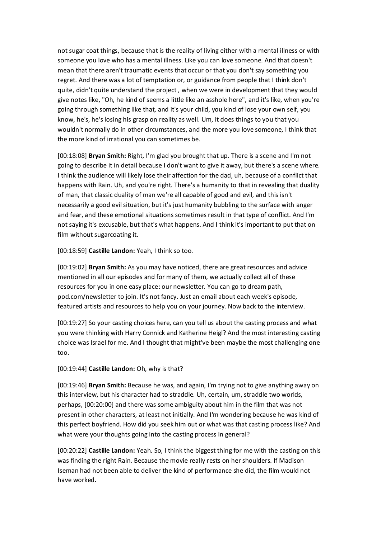not sugar coat things, because that is the reality of living either with a mental illness or with someone you love who has a mental illness. Like you can love someone. And that doesn't mean that there aren't traumatic events that occur or that you don't say something you regret. And there was a lot of temptation or, or guidance from people that I think don't quite, didn't quite understand the project , when we were in development that they would give notes like, "Oh, he kind of seems a little like an asshole here", and it's like, when you're going through something like that, and it's your child, you kind of lose your own self, you know, he's, he's losing his grasp on reality as well. Um, it does things to you that you wouldn't normally do in other circumstances, and the more you love someone, I think that the more kind of irrational you can sometimes be.

[00:18:08] **Bryan Smith:** Right, I'm glad you brought that up. There is a scene and I'm not going to describe it in detail because I don't want to give it away, but there's a scene where. I think the audience will likely lose their affection for the dad, uh, because of a conflict that happens with Rain. Uh, and you're right. There's a humanity to that in revealing that duality of man, that classic duality of man we're all capable of good and evil, and this isn't necessarily a good evil situation, but it's just humanity bubbling to the surface with anger and fear, and these emotional situations sometimes result in that type of conflict. And I'm not saying it's excusable, but that's what happens. And I think it's important to put that on film without sugarcoating it.

[00:18:59] **Castille Landon:** Yeah, I think so too.

[00:19:02] **Bryan Smith:** As you may have noticed, there are great resources and advice mentioned in all our episodes and for many of them, we actually collect all of these resources for you in one easy place: our newsletter. You can go to dream path, pod.com/newsletter to join. It's not fancy. Just an email about each week's episode, featured artists and resources to help you on your journey. Now back to the interview.

[00:19:27] So your casting choices here, can you tell us about the casting process and what you were thinking with Harry Connick and Katherine Heigl? And the most interesting casting choice was Israel for me. And I thought that might've been maybe the most challenging one too.

## [00:19:44] **Castille Landon:** Oh, why is that?

[00:19:46] **Bryan Smith:** Because he was, and again, I'm trying not to give anything away on this interview, but his character had to straddle. Uh, certain, um, straddle two worlds, perhaps, [00:20:00] and there was some ambiguity about him in the film that was not present in other characters, at least not initially. And I'm wondering because he was kind of this perfect boyfriend. How did you seek him out or what was that casting process like? And what were your thoughts going into the casting process in general?

[00:20:22] **Castille Landon:** Yeah. So, I think the biggest thing for me with the casting on this was finding the right Rain. Because the movie really rests on her shoulders. If Madison Iseman had not been able to deliver the kind of performance she did, the film would not have worked.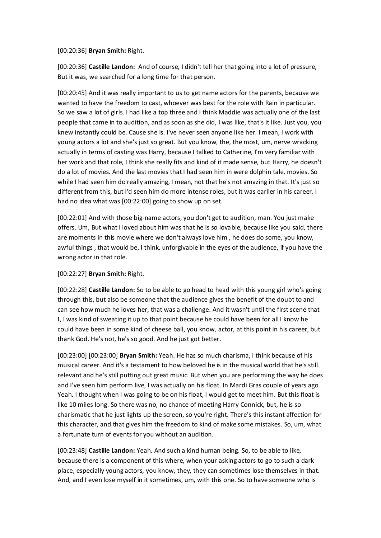## [00:20:36] **Bryan Smith:** Right.

[00:20:36] **Castille Landon:** And of course, I didn't tell her that going into a lot of pressure, But it was, we searched for a long time for that person.

[00:20:45] And it was really important to us to get name actors for the parents, because we wanted to have the freedom to cast, whoever was best for the role with Rain in particular. So we saw a lot of girls. I had like a top three and I think Maddie was actually one of the last people that came in to audition, and as soon as she did, I was like, that's it like. Just you, you knew instantly could be. Cause she is. I've never seen anyone like her. I mean, I work with young actors a lot and she's just so great. But you know, the, the most, um, nerve wracking actually in terms of casting was Harry, because I talked to Catherine, I'm very familiar with her work and that role, I think she really fits and kind of it made sense, but Harry, he doesn't do a lot of movies. And the last movies that I had seen him in were dolphin tale, movies. So while I had seen him do really amazing, I mean, not that he's not amazing in that. It's just so different from this, but I'd seen him do more intense roles, but it was earlier in his career. I had no idea what was [00:22:00] going to show up on set.

[00:22:01] And with those big-name actors, you don't get to audition, man. You just make offers. Um, But what I loved about him was that he is so lovable, because like you said, there are moments in this movie where we don't always love him , he does do some, you know, awful things , that would be, I think, unforgivable in the eyes of the audience, if you have the wrong actor in that role.

## [00:22:27] **Bryan Smith:** Right.

[00:22:28] **Castille Landon:** So to be able to go head to head with this young girl who's going through this, but also be someone that the audience gives the benefit of the doubt to and can see how much he loves her, that was a challenge. And it wasn't until the first scene that I, I was kind of sweating it up to that point because he could have been for all I know he could have been in some kind of cheese ball, you know, actor, at this point in his career, but thank God. He's not, he's so good. And he just got better.

[00:23:00] [00:23:00] **Bryan Smith:** Yeah. He has so much charisma, I think because of his musical career. And it's a testament to how beloved he is in the musical world that he's still relevant and he's still putting out great music. But when you are performing the way he does and I've seen him perform live, I was actually on his float. In Mardi Gras couple of years ago. Yeah. I thought when I was going to be on his float, I would get to meet him. But this float is like 10 miles long. So there was no, no chance of meeting Harry Connick, but, he is so charismatic that he just lights up the screen, so you're right. There's this instant affection for this character, and that gives him the freedom to kind of make some mistakes. So, um, what a fortunate turn of events for you without an audition.

[00:23:48] **Castille Landon:** Yeah. And such a kind human being. So, to be able to like, because there is a component of this where, when your asking actors to go to such a dark place, especially young actors, you know, they, they can sometimes lose themselves in that. And, and I even lose myself in it sometimes, um, with this one. So to have someone who is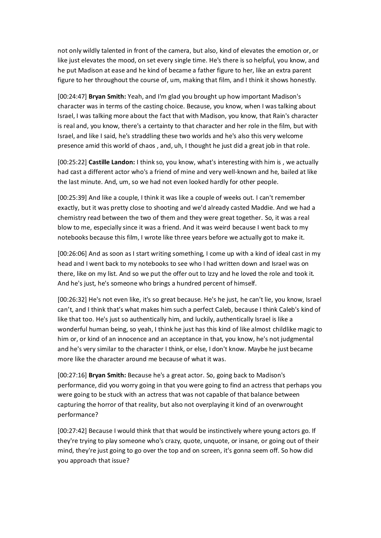not only wildly talented in front of the camera, but also, kind of elevates the emotion or, or like just elevates the mood, on set every single time. He's there is so helpful, you know, and he put Madison at ease and he kind of became a father figure to her, like an extra parent figure to her throughout the course of, um, making that film, and I think it shows honestly.

[00:24:47] **Bryan Smith:** Yeah, and I'm glad you brought up how important Madison's character was in terms of the casting choice. Because, you know, when I was talking about Israel, I was talking more about the fact that with Madison, you know, that Rain's character is real and, you know, there's a certainty to that character and her role in the film, but with Israel, and like I said, he's straddling these two worlds and he's also this very welcome presence amid this world of chaos , and, uh, I thought he just did a great job in that role.

[00:25:22] **Castille Landon:** I think so, you know, what's interesting with him is , we actually had cast a different actor who's a friend of mine and very well-known and he, bailed at like the last minute. And, um, so we had not even looked hardly for other people.

[00:25:39] And like a couple, I think it was like a couple of weeks out. I can't remember exactly, but it was pretty close to shooting and we'd already casted Maddie. And we had a chemistry read between the two of them and they were great together. So, it was a real blow to me, especially since it was a friend. And it was weird because I went back to my notebooks because this film, I wrote like three years before we actually got to make it.

[00:26:06] And as soon as I start writing something, I come up with a kind of ideal cast in my head and I went back to my notebooks to see who I had written down and Israel was on there, like on my list. And so we put the offer out to Izzy and he loved the role and took it. And he's just, he's someone who brings a hundred percent of himself.

[00:26:32] He's not even like, it's so great because. He's he just, he can't lie, you know, Israel can't, and I think that's what makes him such a perfect Caleb, because I think Caleb's kind of like that too. He's just so authentically him, and luckily, authentically Israel is like a wonderful human being, so yeah, I think he just has this kind of like almost childlike magic to him or, or kind of an innocence and an acceptance in that, you know, he's not judgmental and he's very similar to the character I think, or else, I don't know. Maybe he just became more like the character around me because of what it was.

[00:27:16] **Bryan Smith:** Because he's a great actor. So, going back to Madison's performance, did you worry going in that you were going to find an actress that perhaps you were going to be stuck with an actress that was not capable of that balance between capturing the horror of that reality, but also not overplaying it kind of an overwrought performance?

[00:27:42] Because I would think that that would be instinctively where young actors go. If they're trying to play someone who's crazy, quote, unquote, or insane, or going out of their mind, they're just going to go over the top and on screen, it's gonna seem off. So how did you approach that issue?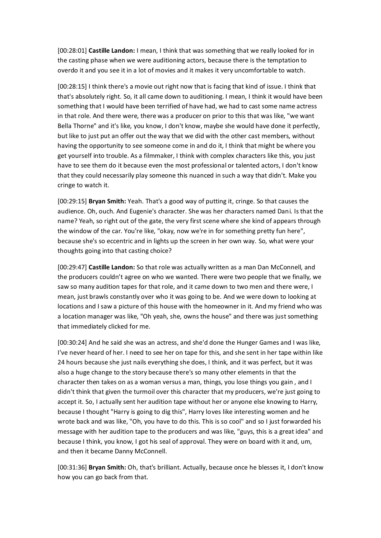[00:28:01] **Castille Landon:** I mean, I think that was something that we really looked for in the casting phase when we were auditioning actors, because there is the temptation to overdo it and you see it in a lot of movies and it makes it very uncomfortable to watch.

[00:28:15] I think there's a movie out right now that is facing that kind of issue. I think that that's absolutely right. So, it all came down to auditioning. I mean, I think it would have been something that I would have been terrified of have had, we had to cast some name actress in that role. And there were, there was a producer on prior to this that was like, "we want Bella Thorne" and it's like, you know, I don't know, maybe she would have done it perfectly, but like to just put an offer out the way that we did with the other cast members, without having the opportunity to see someone come in and do it, I think that might be where you get yourself into trouble. As a filmmaker, I think with complex characters like this, you just have to see them do it because even the most professional or talented actors, I don't know that they could necessarily play someone this nuanced in such a way that didn't. Make you cringe to watch it.

[00:29:15] **Bryan Smith:** Yeah. That's a good way of putting it, cringe. So that causes the audience. Oh, ouch. And Eugenie's character. She was her characters named Dani. Is that the name? Yeah, so right out of the gate, the very first scene where she kind of appears through the window of the car. You're like, "okay, now we're in for something pretty fun here", because she's so eccentric and in lights up the screen in her own way. So, what were your thoughts going into that casting choice?

[00:29:47] **Castille Landon:** So that role was actually written as a man Dan McConnell, and the producers couldn't agree on who we wanted. There were two people that we finally, we saw so many audition tapes for that role, and it came down to two men and there were, I mean, just brawls constantly over who it was going to be. And we were down to looking at locations and I saw a picture of this house with the homeowner in it. And my friend who was a location manager was like, "Oh yeah, she, owns the house" and there was just something that immediately clicked for me.

[00:30:24] And he said she was an actress, and she'd done the Hunger Games and I was like, I've never heard of her. I need to see her on tape for this, and she sent in her tape within like 24 hours because she just nails everything she does, I think, and it was perfect, but it was also a huge change to the story because there's so many other elements in that the character then takes on as a woman versus a man, things, you lose things you gain , and I didn't think that given the turmoil over this character that my producers, we're just going to accept it. So, I actually sent her audition tape without her or anyone else knowing to Harry, because I thought "Harry is going to dig this", Harry loves like interesting women and he wrote back and was like, "Oh, you have to do this. This is so cool" and so I just forwarded his message with her audition tape to the producers and was like, "guys, this is a great idea" and because I think, you know, I got his seal of approval. They were on board with it and, um, and then it became Danny McConnell.

[00:31:36] **Bryan Smith:** Oh, that's brilliant. Actually, because once he blesses it, I don't know how you can go back from that.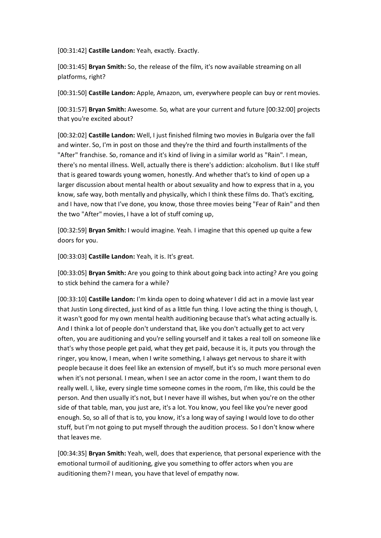[00:31:42] **Castille Landon:** Yeah, exactly. Exactly.

[00:31:45] **Bryan Smith:** So, the release of the film, it's now available streaming on all platforms, right?

[00:31:50] **Castille Landon:** Apple, Amazon, um, everywhere people can buy or rent movies.

[00:31:57] **Bryan Smith:** Awesome. So, what are your current and future [00:32:00] projects that you're excited about?

[00:32:02] **Castille Landon:** Well, I just finished filming two movies in Bulgaria over the fall and winter. So, I'm in post on those and they're the third and fourth installments of the "After" franchise. So, romance and it's kind of living in a similar world as "Rain". I mean, there's no mental illness. Well, actually there is there's addiction: alcoholism. But I like stuff that is geared towards young women, honestly. And whether that's to kind of open up a larger discussion about mental health or about sexuality and how to express that in a, you know, safe way, both mentally and physically, which I think these films do. That's exciting, and I have, now that I've done, you know, those three movies being "Fear of Rain" and then the two "After" movies, I have a lot of stuff coming up,

[00:32:59] **Bryan Smith:** I would imagine. Yeah. I imagine that this opened up quite a few doors for you.

[00:33:03] **Castille Landon:** Yeah, it is. It's great.

[00:33:05] **Bryan Smith:** Are you going to think about going back into acting? Are you going to stick behind the camera for a while?

[00:33:10] **Castille Landon:** I'm kinda open to doing whatever I did act in a movie last year that Justin Long directed, just kind of as a little fun thing. I love acting the thing is though, I, it wasn't good for my own mental health auditioning because that's what acting actually is. And I think a lot of people don't understand that, like you don't actually get to act very often, you are auditioning and you're selling yourself and it takes a real toll on someone like that's why those people get paid, what they get paid, because it is, it puts you through the ringer, you know, I mean, when I write something, I always get nervous to share it with people because it does feel like an extension of myself, but it's so much more personal even when it's not personal. I mean, when I see an actor come in the room, I want them to do really well. I, like, every single time someone comes in the room, I'm like, this could be the person. And then usually it's not, but I never have ill wishes, but when you're on the other side of that table, man, you just are, it's a lot. You know, you feel like you're never good enough. So, so all of that is to, you know, it's a long way of saying I would love to do other stuff, but I'm not going to put myself through the audition process. So I don't know where that leaves me.

[00:34:35] **Bryan Smith:** Yeah, well, does that experience, that personal experience with the emotional turmoil of auditioning, give you something to offer actors when you are auditioning them? I mean, you have that level of empathy now.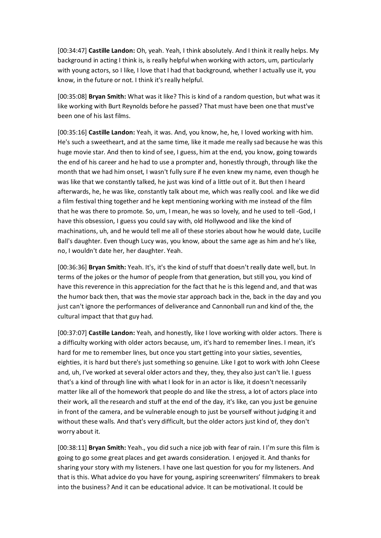[00:34:47] **Castille Landon:** Oh, yeah. Yeah, I think absolutely. And I think it really helps. My background in acting I think is, is really helpful when working with actors, um, particularly with young actors, so I like, I love that I had that background, whether I actually use it, you know, in the future or not. I think it's really helpful.

[00:35:08] **Bryan Smith:** What was it like? This is kind of a random question, but what was it like working with Burt Reynolds before he passed? That must have been one that must've been one of his last films.

[00:35:16] **Castille Landon:** Yeah, it was. And, you know, he, he, I loved working with him. He's such a sweetheart, and at the same time, like it made me really sad because he was this huge movie star. And then to kind of see, I guess, him at the end, you know, going towards the end of his career and he had to use a prompter and, honestly through, through like the month that we had him onset, I wasn't fully sure if he even knew my name, even though he was like that we constantly talked, he just was kind of a little out of it. But then I heard afterwards, he, he was like, constantly talk about me, which was really cool. and like we did a film festival thing together and he kept mentioning working with me instead of the film that he was there to promote. So, um, I mean, he was so lovely, and he used to tell -God, I have this obsession, I guess you could say with, old Hollywood and like the kind of machinations, uh, and he would tell me all of these stories about how he would date, Lucille Ball's daughter. Even though Lucy was, you know, about the same age as him and he's like, no, I wouldn't date her, her daughter. Yeah.

[00:36:36] **Bryan Smith:** Yeah. It's, it's the kind of stuff that doesn't really date well, but. In terms of the jokes or the humor of people from that generation, but still you, you kind of have this reverence in this appreciation for the fact that he is this legend and, and that was the humor back then, that was the movie star approach back in the, back in the day and you just can't ignore the performances of deliverance and Cannonball run and kind of the, the cultural impact that that guy had.

[00:37:07] **Castille Landon:** Yeah, and honestly, like I love working with older actors. There is a difficulty working with older actors because, um, it's hard to remember lines. I mean, it's hard for me to remember lines, but once you start getting into your sixties, seventies, eighties, it is hard but there's just something so genuine. Like I got to work with John Cleese and, uh, I've worked at several older actors and they, they, they also just can't lie. I guess that's a kind of through line with what I look for in an actor is like, it doesn't necessarily matter like all of the homework that people do and like the stress, a lot of actors place into their work, all the research and stuff at the end of the day, it's like, can you just be genuine in front of the camera, and be vulnerable enough to just be yourself without judging it and without these walls. And that's very difficult, but the older actors just kind of, they don't worry about it.

[00:38:11] **Bryan Smith:** Yeah., you did such a nice job with fear of rain. I I'm sure this film is going to go some great places and get awards consideration. I enjoyed it. And thanks for sharing your story with my listeners. I have one last question for you for my listeners. And that is this. What advice do you have for young, aspiring screenwriters' filmmakers to break into the business? And it can be educational advice. It can be motivational. It could be